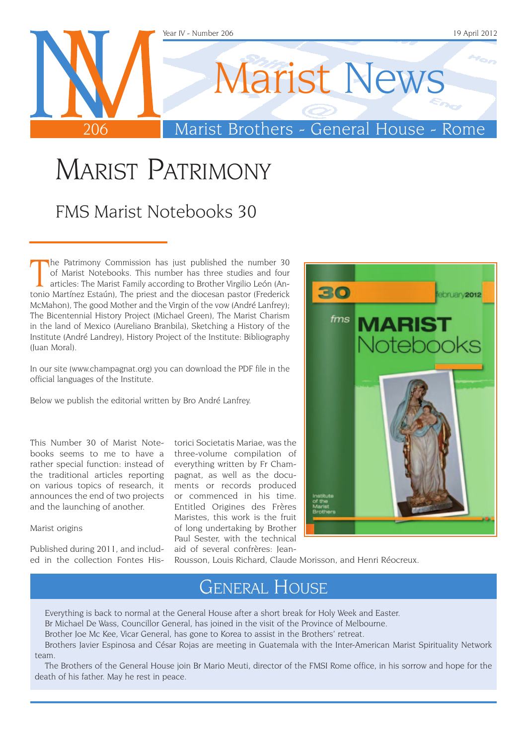

## MARIST PATRIMONY

### FMS Marist Notebooks 30

The Patrimony Commission has just published the number 30 of Marist Notebooks. This number has three studies and four articles: The Marist Family according to Brother Virgilio León (Antonio Martínez Estaún), The priest and he Patrimony Commission has just published the number 30 of Marist Notebooks. This number has three studies and four articles: The Marist Family according to Brother Virgilio León (An-McMahon), The good Mother and the Virgin of the vow (André Lanfrey); The Bicentennial History Project (Michael Green), The Marist Charism in the land of Mexico (Aureliano Branbila), Sketching a History of the Institute (André Landrey), History Project of the Institute: Bibliography (Juan Moral).

In our site (www.champagnat.org) you can download the PDF file in the official languages of the Institute.

Below we publish the editorial written by Bro André Lanfrey.

This Number 30 of Marist Notebooks seems to me to have a rather special function: instead of the traditional articles reporting on various topics of research, it announces the end of two projects and the launching of another.

Marist origins

Published during 2011, and included in the collection Fontes His-

torici Societatis Mariae, was the three-volume compilation of everything written by Fr Champagnat, as well as the documents or records produced or commenced in his time. Entitled Origines des Frères Maristes, this work is the fruit of long undertaking by Brother Paul Sester, with the technical aid of several confrères: Jean-



Rousson, Louis Richard, Claude Morisson, and Henri Réocreux.

### General House

Everything is back to normal at the General House after a short break for Holy Week and Easter.

Br Michael De Wass, Councillor General, has joined in the visit of the Province of Melbourne.

Brother Joe Mc Kee, Vicar General, has gone to Korea to assist in the Brothers' retreat.

Brothers Javier Espinosa and César Rojas are meeting in Guatemala with the Inter-American Marist Spirituality Network team.

The Brothers of the General House join Br Mario Meuti, director of the FMSI Rome office, in his sorrow and hope for the death of his father. May he rest in peace.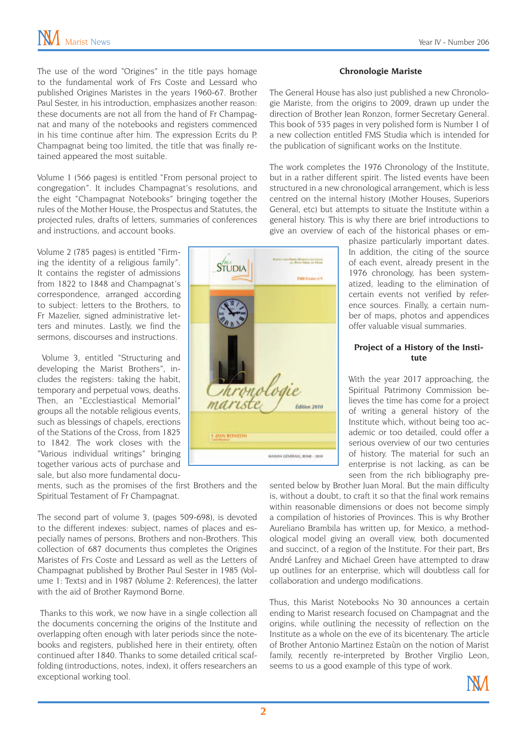The use of the word "Origines" in the title pays homage to the fundamental work of Frs Coste and Lessard who published Origines Maristes in the years 1960-67. Brother Paul Sester, in his introduction, emphasizes another reason: these documents are not all from the hand of Fr Champagnat and many of the notebooks and registers commenced in his time continue after him. The expression Ecrits du P. Champagnat being too limited, the title that was finally retained appeared the most suitable.

Volume 1 (566 pages) is entitled "From personal project to congregation". It includes Champagnat's resolutions, and the eight "Champagnat Notebooks" bringing together the rules of the Mother House, the Prospectus and Statutes, the projected rules, drafts of letters, summaries of conferences and instructions, and account books.

Volume 2 (785 pages) is entitled "Firming the identity of a religious family". It contains the register of admissions from 1822 to 1848 and Champagnat's correspondence, arranged according to subject: letters to the Brothers, to Fr Mazelier, signed administrative letters and minutes. Lastly, we find the sermons, discourses and instructions.

 Volume 3, entitled "Structuring and developing the Marist Brothers", includes the registers: taking the habit, temporary and perpetual vows, deaths. Then, an "Ecclestiastical Memorial" groups all the notable religious events, such as blessings of chapels, erections of the Stations of the Cross, from 1825 to 1842. The work closes with the "Various individual writings" bringing together various acts of purchase and sale, but also more fundamental docu-

ments, such as the promises of the first Brothers and the Spiritual Testament of Fr Champagnat.

The second part of volume 3, (pages 509-698), is devoted to the different indexes: subject, names of places and especially names of persons, Brothers and non-Brothers. This collection of 687 documents thus completes the Origines Maristes of Frs Coste and Lessard as well as the Letters of Champagnat published by Brother Paul Sester in 1985 (Volume 1: Texts) and in 1987 (Volume 2: References), the latter with the aid of Brother Raymond Borne.

 Thanks to this work, we now have in a single collection all the documents concerning the origins of the Institute and overlapping often enough with later periods since the notebooks and registers, published here in their entirety, often continued after 1840. Thanks to some detailed critical scaffolding (introductions, notes, index), it offers researchers an exceptional working tool.

#### **Chronologie Mariste**

The General House has also just published a new Chronologie Mariste, from the origins to 2009, drawn up under the direction of Brother Jean Ronzon, former Secretary General. This book of 535 pages in very polished form is Number 1 of a new collection entitled FMS Studia which is intended for the publication of significant works on the Institute.

The work completes the 1976 Chronology of the Institute, but in a rather different spirit. The listed events have been structured in a new chronological arrangement, which is less centred on the internal history (Mother Houses, Superiors General, etc) but attempts to situate the Institute within a general history. This is why there are brief introductions to give an overview of each of the historical phases or em-

> phasize particularly important dates. In addition, the citing of the source of each event, already present in the 1976 chronology, has been systematized, leading to the elimination of certain events not verified by reference sources. Finally, a certain number of maps, photos and appendices offer valuable visual summaries.

#### **Project of a History of the Institute**

With the year 2017 approaching, the Spiritual Patrimony Commission believes the time has come for a project of writing a general history of the Institute which, without being too academic or too detailed, could offer a serious overview of our two centuries of history. The material for such an enterprise is not lacking, as can be seen from the rich bibliography pre-

sented below by Brother Juan Moral. But the main difficulty is, without a doubt, to craft it so that the final work remains within reasonable dimensions or does not become simply a compilation of histories of Provinces. This is why Brother Aureliano Brambila has written up, for Mexico, a methodological model giving an overall view, both documented and succinct, of a region of the Institute. For their part, Brs André Lanfrey and Michael Green have attempted to draw up outlines for an enterprise, which will doubtless call for collaboration and undergo modifications.

Thus, this Marist Notebooks No 30 announces a certain ending to Marist research focused on Champagnat and the origins, while outlining the necessity of reflection on the Institute as a whole on the eve of its bicentenary. The article of Brother Antonio Martinez Estaùn on the notion of Marist family, recently re-interpreted by Brother Virgilio Leon, seems to us a good example of this type of work.



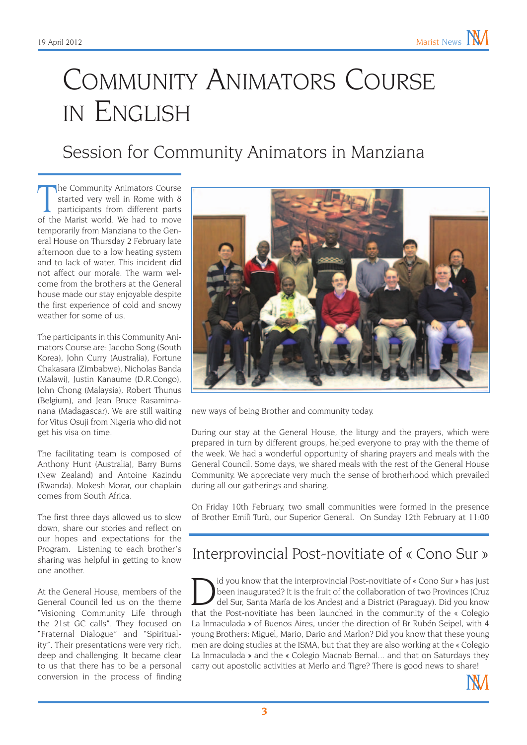## Community Animators Course in English

### Session for Community Animators in Manziana

The Community Animators Course<br>started very well in Rome with 8<br>participants from different parts<br>of the Marist world. We had to move he Community Animators Course started very well in Rome with 8 participants from different parts temporarily from Manziana to the General House on Thursday 2 February late afternoon due to a low heating system and to lack of water. This incident did not affect our morale. The warm welcome from the brothers at the General house made our stay enjoyable despite the first experience of cold and snowy weather for some of us.

The participants in this Community Animators Course are: Jacobo Song (South Korea), John Curry (Australia), Fortune Chakasara (Zimbabwe), Nicholas Banda (Malawi), Justin Kanaume (D.R.Congo), John Chong (Malaysia), Robert Thunus (Belgium), and Jean Bruce Rasamimanana (Madagascar). We are still waiting for Vitus Osuji from Nigeria who did not get his visa on time.

The facilitating team is composed of Anthony Hunt (Australia), Barry Burns (New Zealand) and Antoine Kazindu (Rwanda). Mokesh Morar, our chaplain comes from South Africa.

The first three days allowed us to slow down, share our stories and reflect on our hopes and expectations for the Program. Listening to each brother's sharing was helpful in getting to know one another.

At the General House, members of the General Council led us on the theme "Visioning Community Life through the 21st GC calls". They focused on "Fraternal Dialogue" and "Spirituality". Their presentations were very rich, deep and challenging. It became clear to us that there has to be a personal conversion in the process of finding



new ways of being Brother and community today.

During our stay at the General House, the liturgy and the prayers, which were prepared in turn by different groups, helped everyone to pray with the theme of the week. We had a wonderful opportunity of sharing prayers and meals with the General Council. Some days, we shared meals with the rest of the General House Community. We appreciate very much the sense of brotherhood which prevailed during all our gatherings and sharing.

On Friday 10th February, two small communities were formed in the presence of Brother Emilì Turù, our Superior General. On Sunday 12th February at 11:00

### Interprovincial Post-novitiate of « Cono Sur »

I did you know that the interprovincial Post-novitiate of « Cono Sur » has just been inaugurated? It is the fruit of the collaboration of two Provinces (Cruz del Sur, Santa María de los Andes) and a District (Paraguay). Di been inaugurated? It is the fruit of the collaboration of two Provinces (Cruz that the Post-novitiate has been launched in the community of the « Colegio La Inmaculada » of Buenos Aires, under the direction of Br Rubén Seipel, with 4 young Brothers: Miguel, Mario, Dario and Marlon? Did you know that these young men are doing studies at the ISMA, but that they are also working at the « Colegio La Inmaculada » and the « Colegio Macnab Bernal... and that on Saturdays they carry out apostolic activities at Merlo and Tigre? There is good news to share!